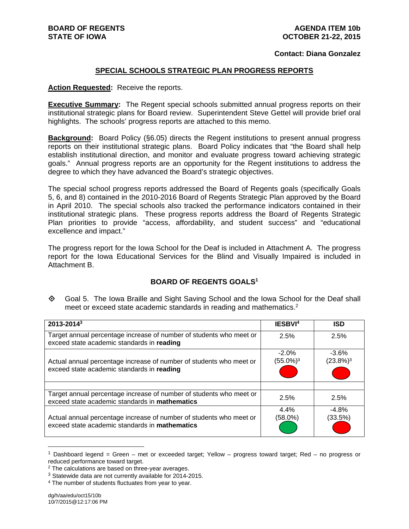#### **Contact: Diana Gonzalez**

#### **SPECIAL SCHOOLS STRATEGIC PLAN PROGRESS REPORTS**

#### **Action Requested:** Receive the reports.

**Executive Summary:** The Regent special schools submitted annual progress reports on their institutional strategic plans for Board review. Superintendent Steve Gettel will provide brief oral highlights. The schools' progress reports are attached to this memo.

**Background:** Board Policy (§6.05) directs the Regent institutions to present annual progress reports on their institutional strategic plans. Board Policy indicates that "the Board shall help establish institutional direction, and monitor and evaluate progress toward achieving strategic goals." Annual progress reports are an opportunity for the Regent institutions to address the degree to which they have advanced the Board's strategic objectives.

The special school progress reports addressed the Board of Regents goals (specifically Goals 5, 6, and 8) contained in the 2010-2016 Board of Regents Strategic Plan approved by the Board in April 2010. The special schools also tracked the performance indicators contained in their institutional strategic plans. These progress reports address the Board of Regents Strategic Plan priorities to provide "access, affordability, and student success" and "educational excellence and impact."

The progress report for the Iowa School for the Deaf is included in Attachment A. The progress report for the Iowa Educational Services for the Blind and Visually Impaired is included in Attachment B.

### **BOARD OF REGENTS GOALS1**

 Goal 5. The Iowa Braille and Sight Saving School and the Iowa School for the Deaf shall meet or exceed state academic standards in reading and mathematics.2

| 2013-20143                                                                                                                   | IESBVI <sup>4</sup>                 | <b>ISD</b>                         |
|------------------------------------------------------------------------------------------------------------------------------|-------------------------------------|------------------------------------|
| Target annual percentage increase of number of students who meet or<br>exceed state academic standards in reading            | 2.5%                                | 2.5%                               |
| Actual annual percentage increase of number of students who meet or<br>exceed state academic standards in reading            | $-2.0\%$<br>$(55.0\%)$ <sup>3</sup> | $-3.6%$<br>$(23.8\%)$ <sup>3</sup> |
| Target annual percentage increase of number of students who meet or<br>exceed state academic standards in mathematics        | 2.5%                                | 2.5%                               |
| Actual annual percentage increase of number of students who meet or<br>exceed state academic standards in <b>mathematics</b> | 4.4%<br>$(58.0\%)$                  | $-4.8%$<br>(33.5%)                 |

<sup>&</sup>lt;sup>1</sup> Dashboard legend = Green – met or exceeded target; Yellow – progress toward target; Red – no progress or reduced performance toward target.

 $\overline{a}$ 

<sup>&</sup>lt;sup>2</sup> The calculations are based on three-year averages.

 $3$  Statewide data are not currently available for 2014-2015.<br> $4$  The number of students fluctuates from year to year.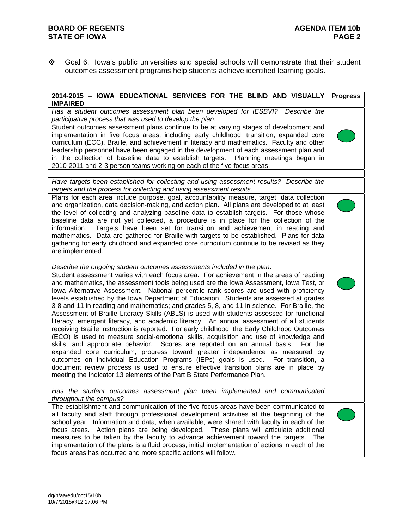## **BOARD OF REGENTS**<br>STATE OF IOWA **AGENDA ITEM 10b STATE OF IOWA**

 Goal 6. Iowa's public universities and special schools will demonstrate that their student outcomes assessment programs help students achieve identified learning goals.

| 2014-2015 - IOWA EDUCATIONAL SERVICES FOR THE BLIND AND VISUALLY<br><b>IMPAIRED</b>                                                                                                                                                                                                                                                                                                                                                                                                                                                                                                                                                                                                                                                                                                                                                                                                                                                                                                                                                                                                                                                                                                                                                                                                                                                                                    | <b>Progress</b> |
|------------------------------------------------------------------------------------------------------------------------------------------------------------------------------------------------------------------------------------------------------------------------------------------------------------------------------------------------------------------------------------------------------------------------------------------------------------------------------------------------------------------------------------------------------------------------------------------------------------------------------------------------------------------------------------------------------------------------------------------------------------------------------------------------------------------------------------------------------------------------------------------------------------------------------------------------------------------------------------------------------------------------------------------------------------------------------------------------------------------------------------------------------------------------------------------------------------------------------------------------------------------------------------------------------------------------------------------------------------------------|-----------------|
| Has a student outcomes assessment plan been developed for IESBVI? Describe the<br>participative process that was used to develop the plan.                                                                                                                                                                                                                                                                                                                                                                                                                                                                                                                                                                                                                                                                                                                                                                                                                                                                                                                                                                                                                                                                                                                                                                                                                             |                 |
| Student outcomes assessment plans continue to be at varying stages of development and<br>implementation in five focus areas, including early childhood, transition, expanded core<br>curriculum (ECC), Braille, and achievement in literacy and mathematics. Faculty and other<br>leadership personnel have been engaged in the development of each assessment plan and<br>in the collection of baseline data to establish targets. Planning meetings began in<br>2010-2011 and 2-3 person teams working on each of the five focus areas.                                                                                                                                                                                                                                                                                                                                                                                                                                                                                                                                                                                                                                                                                                                                                                                                                              |                 |
| Have targets been established for collecting and using assessment results? Describe the                                                                                                                                                                                                                                                                                                                                                                                                                                                                                                                                                                                                                                                                                                                                                                                                                                                                                                                                                                                                                                                                                                                                                                                                                                                                                |                 |
| targets and the process for collecting and using assessment results.<br>Plans for each area include purpose, goal, accountability measure, target, data collection<br>and organization, data decision-making, and action plan. All plans are developed to at least<br>the level of collecting and analyzing baseline data to establish targets. For those whose<br>baseline data are not yet collected, a procedure is in place for the collection of the<br>Targets have been set for transition and achievement in reading and<br>information.<br>mathematics. Data are gathered for Braille with targets to be established. Plans for data<br>gathering for early childhood and expanded core curriculum continue to be revised as they<br>are implemented.                                                                                                                                                                                                                                                                                                                                                                                                                                                                                                                                                                                                         |                 |
|                                                                                                                                                                                                                                                                                                                                                                                                                                                                                                                                                                                                                                                                                                                                                                                                                                                                                                                                                                                                                                                                                                                                                                                                                                                                                                                                                                        |                 |
| Describe the ongoing student outcomes assessments included in the plan.<br>Student assessment varies with each focus area. For achievement in the areas of reading<br>and mathematics, the assessment tools being used are the lowa Assessment, lowa Test, or<br>lowa Alternative Assessment. National percentile rank scores are used with proficiency<br>levels established by the Iowa Department of Education. Students are assessed at grades<br>3-8 and 11 in reading and mathematics; and grades 5, 8, and 11 in science. For Braille, the<br>Assessment of Braille Literacy Skills (ABLS) is used with students assessed for functional<br>literacy, emergent literacy, and academic literacy. An annual assessment of all students<br>receiving Braille instruction is reported. For early childhood, the Early Childhood Outcomes<br>(ECO) is used to measure social-emotional skills, acquisition and use of knowledge and<br>skills, and appropriate behavior. Scores are reported on an annual basis.<br>For the<br>expanded core curriculum, progress toward greater independence as measured by<br>outcomes on Individual Education Programs (IEPs) goals is used. For transition, a<br>document review process is used to ensure effective transition plans are in place by<br>meeting the Indicator 13 elements of the Part B State Performance Plan. |                 |
| Has the student outcomes assessment plan been implemented and communicated<br>throughout the campus?                                                                                                                                                                                                                                                                                                                                                                                                                                                                                                                                                                                                                                                                                                                                                                                                                                                                                                                                                                                                                                                                                                                                                                                                                                                                   |                 |
| The establishment and communication of the five focus areas have been communicated to<br>all faculty and staff through professional development activities at the beginning of the<br>school year. Information and data, when available, were shared with faculty in each of the<br>focus areas. Action plans are being developed. These plans will articulate additional<br>measures to be taken by the faculty to advance achievement toward the targets. The<br>implementation of the plans is a fluid process; initial implementation of actions in each of the<br>focus areas has occurred and more specific actions will follow.                                                                                                                                                                                                                                                                                                                                                                                                                                                                                                                                                                                                                                                                                                                                 |                 |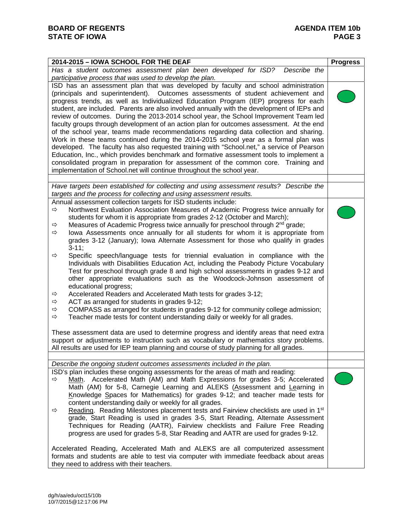| 2014-2015 - IOWA SCHOOL FOR THE DEAF                                                                                                                                                                                                                                                                                                                                                                                                                                                                                                                                                                                                                                                                                                                                                                                                                                                                                                                                                                                                                                                        | <b>Progress</b> |
|---------------------------------------------------------------------------------------------------------------------------------------------------------------------------------------------------------------------------------------------------------------------------------------------------------------------------------------------------------------------------------------------------------------------------------------------------------------------------------------------------------------------------------------------------------------------------------------------------------------------------------------------------------------------------------------------------------------------------------------------------------------------------------------------------------------------------------------------------------------------------------------------------------------------------------------------------------------------------------------------------------------------------------------------------------------------------------------------|-----------------|
| Has a student outcomes assessment plan been developed for ISD?<br>Describe the<br>participative process that was used to develop the plan.                                                                                                                                                                                                                                                                                                                                                                                                                                                                                                                                                                                                                                                                                                                                                                                                                                                                                                                                                  |                 |
| ISD has an assessment plan that was developed by faculty and school administration<br>(principals and superintendent). Outcomes assessments of student achievement and<br>progress trends, as well as Individualized Education Program (IEP) progress for each<br>student, are included. Parents are also involved annually with the development of IEPs and<br>review of outcomes. During the 2013-2014 school year, the School Improvement Team led<br>faculty groups through development of an action plan for outcomes assessment. At the end<br>of the school year, teams made recommendations regarding data collection and sharing.<br>Work in these teams continued during the 2014-2015 school year as a formal plan was<br>developed. The faculty has also requested training with "School.net," a service of Pearson<br>Education, Inc., which provides benchmark and formative assessment tools to implement a<br>consolidated program in preparation for assessment of the common core. Training and<br>implementation of School.net will continue throughout the school year. |                 |
| Have targets been established for collecting and using assessment results? Describe the                                                                                                                                                                                                                                                                                                                                                                                                                                                                                                                                                                                                                                                                                                                                                                                                                                                                                                                                                                                                     |                 |
| targets and the process for collecting and using assessment results.                                                                                                                                                                                                                                                                                                                                                                                                                                                                                                                                                                                                                                                                                                                                                                                                                                                                                                                                                                                                                        |                 |
| Annual assessment collection targets for ISD students include:<br>Northwest Evaluation Association Measures of Academic Progress twice annually for<br>⇨<br>students for whom it is appropriate from grades 2-12 (October and March);<br>Measures of Academic Progress twice annually for preschool through 2 <sup>nd</sup> grade;<br>⇨<br>lowa Assessments once annually for all students for whom it is appropriate from<br>$\Rightarrow$<br>grades 3-12 (January); lowa Alternate Assessment for those who qualify in grades<br>$3-11;$                                                                                                                                                                                                                                                                                                                                                                                                                                                                                                                                                  |                 |
| $\Rightarrow$<br>Specific speech/language tests for triennial evaluation in compliance with the<br>Individuals with Disabilities Education Act, including the Peabody Picture Vocabulary<br>Test for preschool through grade 8 and high school assessments in grades 9-12 and<br>other appropriate evaluations such as the Woodcock-Johnson assessment of<br>educational progress;                                                                                                                                                                                                                                                                                                                                                                                                                                                                                                                                                                                                                                                                                                          |                 |
| Accelerated Readers and Accelerated Math tests for grades 3-12;<br>⇨<br>ACT as arranged for students in grades 9-12;<br>⇨                                                                                                                                                                                                                                                                                                                                                                                                                                                                                                                                                                                                                                                                                                                                                                                                                                                                                                                                                                   |                 |
| COMPASS as arranged for students in grades 9-12 for community college admission;<br>⇨<br>Teacher made tests for content understanding daily or weekly for all grades.<br>⇨                                                                                                                                                                                                                                                                                                                                                                                                                                                                                                                                                                                                                                                                                                                                                                                                                                                                                                                  |                 |
| These assessment data are used to determine progress and identify areas that need extra<br>support or adjustments to instruction such as vocabulary or mathematics story problems.<br>All results are used for IEP team planning and course of study planning for all grades.                                                                                                                                                                                                                                                                                                                                                                                                                                                                                                                                                                                                                                                                                                                                                                                                               |                 |
|                                                                                                                                                                                                                                                                                                                                                                                                                                                                                                                                                                                                                                                                                                                                                                                                                                                                                                                                                                                                                                                                                             |                 |
| Describe the ongoing student outcomes assessments included in the plan.<br>ISD's plan includes these ongoing assessments for the areas of math and reading:                                                                                                                                                                                                                                                                                                                                                                                                                                                                                                                                                                                                                                                                                                                                                                                                                                                                                                                                 |                 |
| Math. Accelerated Math (AM) and Math Expressions for grades 3-5; Accelerated<br>⇨<br>Math (AM) for 5-8, Carnegie Learning and ALEKS (Assessment and Learning in<br>Knowledge Spaces for Mathematics) for grades 9-12; and teacher made tests for<br>content understanding daily or weekly for all grades.<br>Reading. Reading Milestones placement tests and Fairview checklists are used in 1 <sup>st</sup><br>⇨<br>grade, Start Reading is used in grades 3-5, Start Reading, Alternate Assessment<br>Techniques for Reading (AATR), Fairview checklists and Failure Free Reading<br>progress are used for grades 5-8, Star Reading and AATR are used for grades 9-12.                                                                                                                                                                                                                                                                                                                                                                                                                    |                 |
| Accelerated Reading, Accelerated Math and ALEKS are all computerized assessment<br>formats and students are able to test via computer with immediate feedback about areas<br>they need to address with their teachers.                                                                                                                                                                                                                                                                                                                                                                                                                                                                                                                                                                                                                                                                                                                                                                                                                                                                      |                 |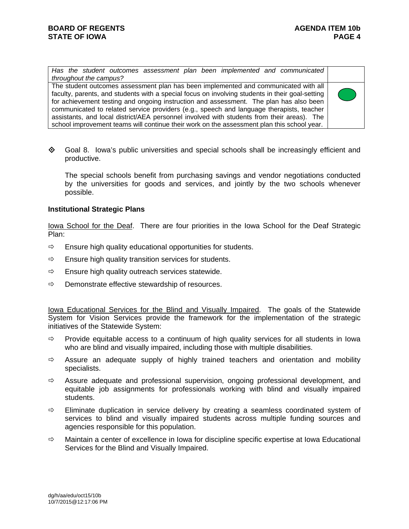*Has the student outcomes assessment plan been implemented and communicated throughout the campus?*

The student outcomes assessment plan has been implemented and communicated with all faculty, parents, and students with a special focus on involving students in their goal-setting for achievement testing and ongoing instruction and assessment. The plan has also been communicated to related service providers (e.g., speech and language therapists, teacher assistants, and local district/AEA personnel involved with students from their areas). The school improvement teams will continue their work on the assessment plan this school year.

 $\Diamond$  Goal 8. Iowa's public universities and special schools shall be increasingly efficient and productive.

The special schools benefit from purchasing savings and vendor negotiations conducted by the universities for goods and services, and jointly by the two schools whenever possible.

### **Institutional Strategic Plans**

Iowa School for the Deaf. There are four priorities in the Iowa School for the Deaf Strategic Plan:

- $\Rightarrow$  Ensure high quality educational opportunities for students.
- $\Rightarrow$  Ensure high quality transition services for students.
- $\Rightarrow$  Ensure high quality outreach services statewide.
- $\Rightarrow$  Demonstrate effective stewardship of resources.

Iowa Educational Services for the Blind and Visually Impaired. The goals of the Statewide System for Vision Services provide the framework for the implementation of the strategic initiatives of the Statewide System:

- $\Rightarrow$  Provide equitable access to a continuum of high quality services for all students in Iowa who are blind and visually impaired, including those with multiple disabilities.
- $\Rightarrow$  Assure an adequate supply of highly trained teachers and orientation and mobility specialists.
- $\Rightarrow$  Assure adequate and professional supervision, ongoing professional development, and equitable job assignments for professionals working with blind and visually impaired students.
- $\Rightarrow$  Eliminate duplication in service delivery by creating a seamless coordinated system of services to blind and visually impaired students across multiple funding sources and agencies responsible for this population.
- $\Rightarrow$  Maintain a center of excellence in Iowa for discipline specific expertise at Iowa Educational Services for the Blind and Visually Impaired.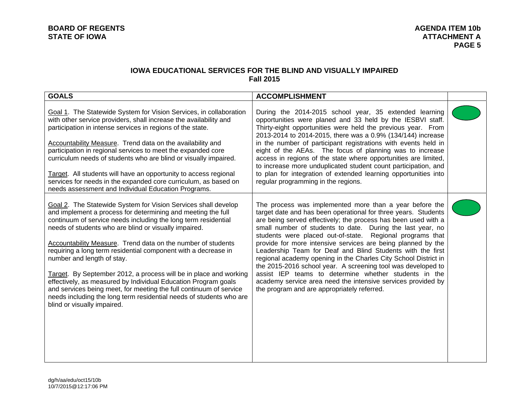### **IOWA EDUCATIONAL SERVICES FOR THE BLIND AND VISUALLY IMPAIRED Fall 2015**

| <b>GOALS</b>                                                                                                                                                                                                                                                                                                                                                                                                                                                                                                                                                                                                                                                                                                                                 | <b>ACCOMPLISHMENT</b>                                                                                                                                                                                                                                                                                                                                                                                                                                                                                                                                                                                                                                                                                                                                           |  |
|----------------------------------------------------------------------------------------------------------------------------------------------------------------------------------------------------------------------------------------------------------------------------------------------------------------------------------------------------------------------------------------------------------------------------------------------------------------------------------------------------------------------------------------------------------------------------------------------------------------------------------------------------------------------------------------------------------------------------------------------|-----------------------------------------------------------------------------------------------------------------------------------------------------------------------------------------------------------------------------------------------------------------------------------------------------------------------------------------------------------------------------------------------------------------------------------------------------------------------------------------------------------------------------------------------------------------------------------------------------------------------------------------------------------------------------------------------------------------------------------------------------------------|--|
| Goal 1. The Statewide System for Vision Services, in collaboration<br>with other service providers, shall increase the availability and<br>participation in intense services in regions of the state.<br><b>Accountability Measure.</b> Trend data on the availability and<br>participation in regional services to meet the expanded core<br>curriculum needs of students who are blind or visually impaired.<br>Target. All students will have an opportunity to access regional<br>services for needs in the expanded core curriculum, as based on<br>needs assessment and Individual Education Programs.                                                                                                                                 | During the 2014-2015 school year, 35 extended learning<br>opportunities were planed and 33 held by the IESBVI staff.<br>Thirty-eight opportunities were held the previous year. From<br>2013-2014 to 2014-2015, there was a 0.9% (134/144) increase<br>in the number of participant registrations with events held in<br>eight of the AEAs. The focus of planning was to increase<br>access in regions of the state where opportunities are limited,<br>to increase more unduplicated student count participation, and<br>to plan for integration of extended learning opportunities into<br>regular programming in the regions.                                                                                                                                |  |
| Goal 2. The Statewide System for Vision Services shall develop<br>and implement a process for determining and meeting the full<br>continuum of service needs including the long term residential<br>needs of students who are blind or visually impaired.<br>Accountability Measure. Trend data on the number of students<br>requiring a long term residential component with a decrease in<br>number and length of stay.<br>Target. By September 2012, a process will be in place and working<br>effectively, as measured by Individual Education Program goals<br>and services being meet, for meeting the full continuum of service<br>needs including the long term residential needs of students who are<br>blind or visually impaired. | The process was implemented more than a year before the<br>target date and has been operational for three years. Students<br>are being served effectively; the process has been used with a<br>small number of students to date. During the last year, no<br>students were placed out-of-state. Regional programs that<br>provide for more intensive services are being planned by the<br>Leadership Team for Deaf and Blind Students with the first<br>regional academy opening in the Charles City School District in<br>the 2015-2016 school year. A screening tool was developed to<br>assist IEP teams to determine whether students in the<br>academy service area need the intensive services provided by<br>the program and are appropriately referred. |  |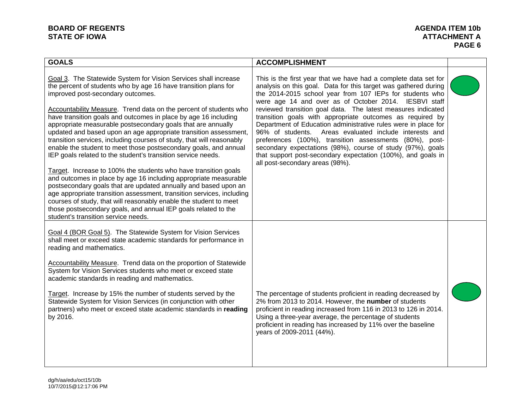## **BOARD OF REGENTS STATE OF IOWA ATTACHMENT A**

| <b>GOALS</b>                                                                                                                                                                                                                                                                                                                                                                                                                                                                                                                                                                                                                                                                                                                                                                                                                                                                                                                                                                                                                                                                                                                      | <b>ACCOMPLISHMENT</b>                                                                                                                                                                                                                                                                                                                                                                                                                                                                                                                                                                                                                                                                                                                        |  |
|-----------------------------------------------------------------------------------------------------------------------------------------------------------------------------------------------------------------------------------------------------------------------------------------------------------------------------------------------------------------------------------------------------------------------------------------------------------------------------------------------------------------------------------------------------------------------------------------------------------------------------------------------------------------------------------------------------------------------------------------------------------------------------------------------------------------------------------------------------------------------------------------------------------------------------------------------------------------------------------------------------------------------------------------------------------------------------------------------------------------------------------|----------------------------------------------------------------------------------------------------------------------------------------------------------------------------------------------------------------------------------------------------------------------------------------------------------------------------------------------------------------------------------------------------------------------------------------------------------------------------------------------------------------------------------------------------------------------------------------------------------------------------------------------------------------------------------------------------------------------------------------------|--|
| Goal 3. The Statewide System for Vision Services shall increase<br>the percent of students who by age 16 have transition plans for<br>improved post-secondary outcomes.<br>Accountability Measure. Trend data on the percent of students who<br>have transition goals and outcomes in place by age 16 including<br>appropriate measurable postsecondary goals that are annually<br>updated and based upon an age appropriate transition assessment,<br>transition services, including courses of study, that will reasonably<br>enable the student to meet those postsecondary goals, and annual<br>IEP goals related to the student's transition service needs.<br>Target. Increase to 100% the students who have transition goals<br>and outcomes in place by age 16 including appropriate measurable<br>postsecondary goals that are updated annually and based upon an<br>age appropriate transition assessment, transition services, including<br>courses of study, that will reasonably enable the student to meet<br>those postsecondary goals, and annual IEP goals related to the<br>student's transition service needs. | This is the first year that we have had a complete data set for<br>analysis on this goal. Data for this target was gathered during<br>the 2014-2015 school year from 107 IEPs for students who<br>were age 14 and over as of October 2014. IESBVI staff<br>reviewed transition goal data. The latest measures indicated<br>transition goals with appropriate outcomes as required by<br>Department of Education administrative rules were in place for<br>96% of students. Areas evaluated include interests and<br>preferences (100%), transition assessments (80%), post-<br>secondary expectations (98%), course of study (97%), goals<br>that support post-secondary expectation (100%), and goals in<br>all post-secondary areas (98%). |  |
| Goal 4 (BOR Goal 5). The Statewide System for Vision Services<br>shall meet or exceed state academic standards for performance in<br>reading and mathematics.<br>Accountability Measure. Trend data on the proportion of Statewide<br>System for Vision Services students who meet or exceed state<br>academic standards in reading and mathematics.<br>Target. Increase by 15% the number of students served by the<br>Statewide System for Vision Services (in conjunction with other<br>partners) who meet or exceed state academic standards in reading<br>by 2016.                                                                                                                                                                                                                                                                                                                                                                                                                                                                                                                                                           | The percentage of students proficient in reading decreased by<br>2% from 2013 to 2014. However, the number of students<br>proficient in reading increased from 116 in 2013 to 126 in 2014.<br>Using a three-year average, the percentage of students<br>proficient in reading has increased by 11% over the baseline<br>years of 2009-2011 (44%).                                                                                                                                                                                                                                                                                                                                                                                            |  |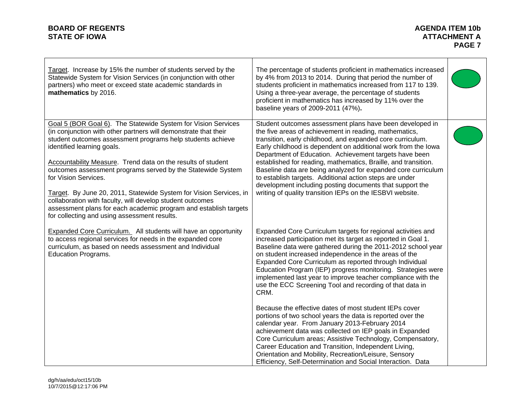## **BOARD OF REGENTS STATE OF IOWA ATTACHMENT A**

| Target. Increase by 15% the number of students served by the<br>Statewide System for Vision Services (in conjunction with other<br>partners) who meet or exceed state academic standards in<br>mathematics by 2016.                                                                                                                                                                                                                                                                                                                                                                                                                               | The percentage of students proficient in mathematics increased<br>by 4% from 2013 to 2014. During that period the number of<br>students proficient in mathematics increased from 117 to 139.<br>Using a three-year average, the percentage of students<br>proficient in mathematics has increased by 11% over the<br>baseline years of 2009-2011 (47%).                                                                                                                                                                                                                                                                            |  |
|---------------------------------------------------------------------------------------------------------------------------------------------------------------------------------------------------------------------------------------------------------------------------------------------------------------------------------------------------------------------------------------------------------------------------------------------------------------------------------------------------------------------------------------------------------------------------------------------------------------------------------------------------|------------------------------------------------------------------------------------------------------------------------------------------------------------------------------------------------------------------------------------------------------------------------------------------------------------------------------------------------------------------------------------------------------------------------------------------------------------------------------------------------------------------------------------------------------------------------------------------------------------------------------------|--|
| Goal 5 (BOR Goal 6). The Statewide System for Vision Services<br>(in conjunction with other partners will demonstrate that their<br>student outcomes assessment programs help students achieve<br>identified learning goals.<br><b>Accountability Measure.</b> Trend data on the results of student<br>outcomes assessment programs served by the Statewide System<br>for Vision Services.<br>Target. By June 20, 2011, Statewide System for Vision Services, in<br>collaboration with faculty, will develop student outcomes<br>assessment plans for each academic program and establish targets<br>for collecting and using assessment results. | Student outcomes assessment plans have been developed in<br>the five areas of achievement in reading, mathematics,<br>transition, early childhood, and expanded core curriculum.<br>Early childhood is dependent on additional work from the lowa<br>Department of Education. Achievement targets have been<br>established for reading, mathematics, Braille, and transition.<br>Baseline data are being analyzed for expanded core curriculum<br>to establish targets. Additional action steps are under<br>development including posting documents that support the<br>writing of quality transition IEPs on the IESBVI website. |  |
| <b>Expanded Core Curriculum.</b> All students will have an opportunity<br>to access regional services for needs in the expanded core<br>curriculum, as based on needs assessment and Individual<br><b>Education Programs.</b>                                                                                                                                                                                                                                                                                                                                                                                                                     | Expanded Core Curriculum targets for regional activities and<br>increased participation met its target as reported in Goal 1.<br>Baseline data were gathered during the 2011-2012 school year<br>on student increased independence in the areas of the<br>Expanded Core Curriculum as reported through Individual<br>Education Program (IEP) progress monitoring. Strategies were<br>implemented last year to improve teacher compliance with the<br>use the ECC Screening Tool and recording of that data in<br>CRM.                                                                                                              |  |
|                                                                                                                                                                                                                                                                                                                                                                                                                                                                                                                                                                                                                                                   | Because the effective dates of most student IEPs cover<br>portions of two school years the data is reported over the<br>calendar year. From January 2013-February 2014<br>achievement data was collected on IEP goals in Expanded<br>Core Curriculum areas; Assistive Technology, Compensatory,<br>Career Education and Transition, Independent Living,<br>Orientation and Mobility, Recreation/Leisure, Sensory<br>Efficiency, Self-Determination and Social Interaction. Data                                                                                                                                                    |  |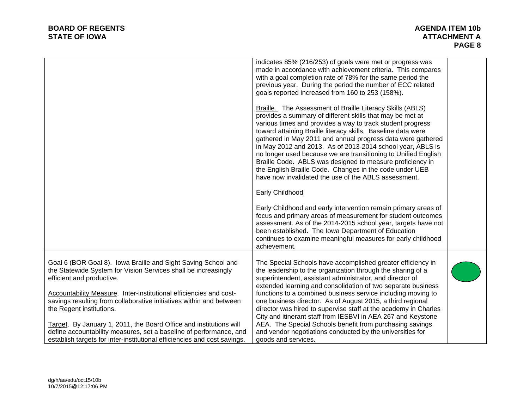|                                                                                                                                                                                                                                                                                                                                       | indicates 85% (216/253) of goals were met or progress was<br>made in accordance with achievement criteria. This compares<br>with a goal completion rate of 78% for the same period the<br>previous year. During the period the number of ECC related<br>goals reported increased from 160 to 253 (158%).                                                                                                                                                                                                                                                                                                                            |  |
|---------------------------------------------------------------------------------------------------------------------------------------------------------------------------------------------------------------------------------------------------------------------------------------------------------------------------------------|-------------------------------------------------------------------------------------------------------------------------------------------------------------------------------------------------------------------------------------------------------------------------------------------------------------------------------------------------------------------------------------------------------------------------------------------------------------------------------------------------------------------------------------------------------------------------------------------------------------------------------------|--|
|                                                                                                                                                                                                                                                                                                                                       | Braille. The Assessment of Braille Literacy Skills (ABLS)<br>provides a summary of different skills that may be met at<br>various times and provides a way to track student progress<br>toward attaining Braille literacy skills. Baseline data were<br>gathered in May 2011 and annual progress data were gathered<br>in May 2012 and 2013. As of 2013-2014 school year, ABLS is<br>no longer used because we are transitioning to Unified English<br>Braille Code. ABLS was designed to measure proficiency in<br>the English Braille Code. Changes in the code under UEB<br>have now invalidated the use of the ABLS assessment. |  |
|                                                                                                                                                                                                                                                                                                                                       | <b>Early Childhood</b>                                                                                                                                                                                                                                                                                                                                                                                                                                                                                                                                                                                                              |  |
|                                                                                                                                                                                                                                                                                                                                       | Early Childhood and early intervention remain primary areas of<br>focus and primary areas of measurement for student outcomes<br>assessment. As of the 2014-2015 school year, targets have not<br>been established. The Iowa Department of Education<br>continues to examine meaningful measures for early childhood<br>achievement.                                                                                                                                                                                                                                                                                                |  |
| Goal 6 (BOR Goal 8). Iowa Braille and Sight Saving School and<br>the Statewide System for Vision Services shall be increasingly<br>efficient and productive.<br>Accountability Measure. Inter-institutional efficiencies and cost-<br>savings resulting from collaborative initiatives within and between<br>the Regent institutions. | The Special Schools have accomplished greater efficiency in<br>the leadership to the organization through the sharing of a<br>superintendent, assistant administrator, and director of<br>extended learning and consolidation of two separate business<br>functions to a combined business service including moving to<br>one business director. As of August 2015, a third regional<br>director was hired to supervise staff at the academy in Charles<br>City and itinerant staff from IESBVI in AEA 267 and Keystone                                                                                                             |  |
| Target. By January 1, 2011, the Board Office and institutions will<br>define accountability measures, set a baseline of performance, and<br>establish targets for inter-institutional efficiencies and cost savings.                                                                                                                  | AEA. The Special Schools benefit from purchasing savings<br>and vendor negotiations conducted by the universities for<br>goods and services.                                                                                                                                                                                                                                                                                                                                                                                                                                                                                        |  |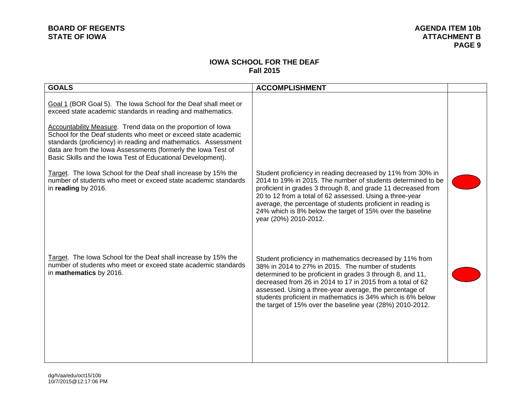# **IOWA SCHOOL FOR THE DEAF Fall 2015**

| <b>GOALS</b>                                                                                                                                                                                                                                                                                                                                                                                                                                                       | <b>ACCOMPLISHMENT</b>                                                                                                                                                                                                                                                                                                                                                                                                             |  |
|--------------------------------------------------------------------------------------------------------------------------------------------------------------------------------------------------------------------------------------------------------------------------------------------------------------------------------------------------------------------------------------------------------------------------------------------------------------------|-----------------------------------------------------------------------------------------------------------------------------------------------------------------------------------------------------------------------------------------------------------------------------------------------------------------------------------------------------------------------------------------------------------------------------------|--|
| Goal 1 (BOR Goal 5). The lowa School for the Deaf shall meet or<br>exceed state academic standards in reading and mathematics.<br>Accountability Measure. Trend data on the proportion of Iowa<br>School for the Deaf students who meet or exceed state academic<br>standards (proficiency) in reading and mathematics. Assessment<br>data are from the Iowa Assessments (formerly the Iowa Test of<br>Basic Skills and the Iowa Test of Educational Development). |                                                                                                                                                                                                                                                                                                                                                                                                                                   |  |
| Target. The lowa School for the Deaf shall increase by 15% the<br>number of students who meet or exceed state academic standards<br>in reading by 2016.                                                                                                                                                                                                                                                                                                            | Student proficiency in reading decreased by 11% from 30% in<br>2014 to 19% in 2015. The number of students determined to be<br>proficient in grades 3 through 8, and grade 11 decreased from<br>20 to 12 from a total of 62 assessed. Using a three-year<br>average, the percentage of students proficient in reading is<br>24% which is 8% below the target of 15% over the baseline<br>year (20%) 2010-2012.                    |  |
| Target. The lowa School for the Deaf shall increase by 15% the<br>number of students who meet or exceed state academic standards<br>in mathematics by 2016.                                                                                                                                                                                                                                                                                                        | Student proficiency in mathematics decreased by 11% from<br>38% in 2014 to 27% in 2015. The number of students<br>determined to be proficient in grades 3 through 8, and 11,<br>decreased from 26 in 2014 to 17 in 2015 from a total of 62<br>assessed. Using a three-year average, the percentage of<br>students proficient in mathematics is 34% which is 6% below<br>the target of 15% over the baseline year (28%) 2010-2012. |  |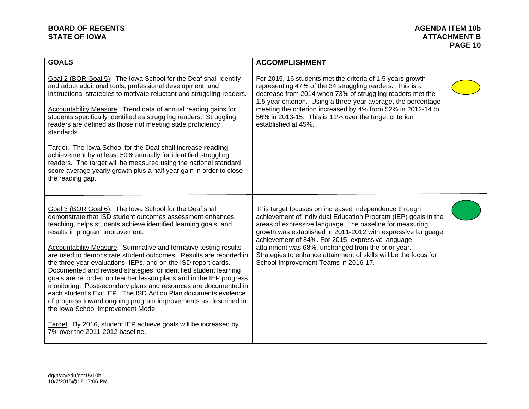# **BOARD OF REGENTS STATE OF IOWA** ATTACHMENT B

| <b>GOALS</b>                                                                                                                                                                                                                                                                                                                                                                                                                                                                                                                                                                                                                                                                                                                                                                                                                                                                                                                        | <b>ACCOMPLISHMENT</b>                                                                                                                                                                                                                                                                                                                                                                                                                                                      |  |
|-------------------------------------------------------------------------------------------------------------------------------------------------------------------------------------------------------------------------------------------------------------------------------------------------------------------------------------------------------------------------------------------------------------------------------------------------------------------------------------------------------------------------------------------------------------------------------------------------------------------------------------------------------------------------------------------------------------------------------------------------------------------------------------------------------------------------------------------------------------------------------------------------------------------------------------|----------------------------------------------------------------------------------------------------------------------------------------------------------------------------------------------------------------------------------------------------------------------------------------------------------------------------------------------------------------------------------------------------------------------------------------------------------------------------|--|
| Goal 2 (BOR Goal 5). The lowa School for the Deaf shall identify<br>and adopt additional tools, professional development, and<br>instructional strategies to motivate reluctant and struggling readers.<br><b>Accountability Measure.</b> Trend data of annual reading gains for<br>students specifically identified as struggling readers. Struggling<br>readers are defined as those not meeting state proficiency<br>standards.<br>Target. The lowa School for the Deaf shall increase reading<br>achievement by at least 50% annually for identified struggling<br>readers. The target will be measured using the national standard<br>score average yearly growth plus a half year gain in order to close<br>the reading gap.                                                                                                                                                                                                  | For 2015, 16 students met the criteria of 1.5 years growth<br>representing 47% of the 34 struggling readers. This is a<br>decrease from 2014 when 73% of struggling readers met the<br>1.5 year criterion. Using a three-year average, the percentage<br>meeting the criterion increased by 4% from 52% in 2012-14 to<br>56% in 2013-15. This is 11% over the target criterion<br>established at 45%.                                                                      |  |
| Goal 3 (BOR Goal 6). The Iowa School for the Deaf shall<br>demonstrate that ISD student outcomes assessment enhances<br>teaching, helps students achieve identified learning goals, and<br>results in program improvement.<br>Accountability Measure. Summative and formative testing results<br>are used to demonstrate student outcomes. Results are reported in<br>the three year evaluations, IEPs, and on the ISD report cards.<br>Documented and revised strategies for identified student learning<br>goals are recorded on teacher lesson plans and in the IEP progress<br>monitoring. Postsecondary plans and resources are documented in<br>each student's Exit IEP. The ISD Action Plan documents evidence<br>of progress toward ongoing program improvements as described in<br>the Iowa School Improvement Mode.<br>Target. By 2016, student IEP achieve goals will be increased by<br>7% over the 2011-2012 baseline. | This target focuses on increased independence through<br>achievement of Individual Education Program (IEP) goals in the<br>areas of expressive language. The baseline for measuring<br>growth was established in 2011-2012 with expressive language<br>achievement of 84%. For 2015, expressive language<br>attainment was 68%, unchanged from the prior year.<br>Strategies to enhance attainment of skills will be the focus for<br>School Improvement Teams in 2016-17. |  |